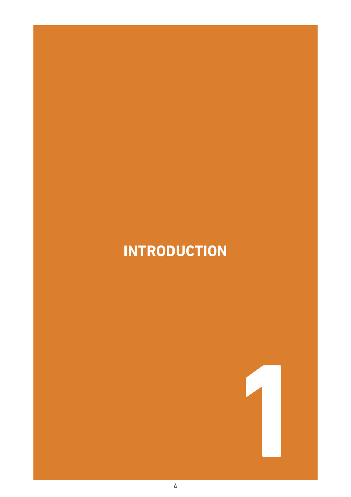# The Best Practice Guidance is applicable to all staff and management working in mental health **INTRODuCTION**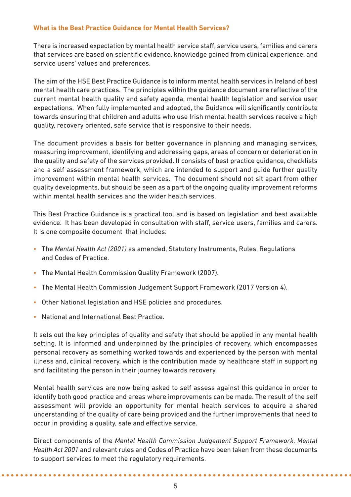## **What is the Best Practice Guidance for Mental Health Services?**

There is increased expectation by mental health service staff, service users, families and carers that services are based on scientific evidence, knowledge gained from clinical experience, and service users' values and preferences.

The aim of the HSE Best Practice Guidance is to inform mental health services in Ireland of best mental health care practices. The principles within the guidance document are reflective of the current mental health quality and safety agenda, mental health legislation and service user expectations. When fully implemented and adopted, the Guidance will significantly contribute towards ensuring that children and adults who use Irish mental health services receive a high quality, recovery oriented, safe service that is responsive to their needs.

The document provides a basis for better governance in planning and managing services, measuring improvement, identifying and addressing gaps, areas of concern or deterioration in the quality and safety of the services provided. It consists of best practice guidance, checklists and a self assessment framework, which are intended to support and guide further quality improvement within mental health services. The document should not sit apart from other quality developments, but should be seen as a part of the ongoing quality improvement reforms within mental health services and the wider health services.

This Best Practice Guidance is a practical tool and is based on legislation and best available evidence. It has been developed in consultation with staff, service users, families and carers. It is one composite document that includes:

- The *Mental Health Act (2001)* as amended, Statutory Instruments, Rules, Regulations and Codes of Practice.
- The Mental Health Commission Quality Framework (2007).
- The Mental Health Commission Judgement Support Framework (2017 Version 4).
- Other National legislation and HSE policies and procedures.
- National and International Best Practice.

It sets out the key principles of quality and safety that should be applied in any mental health setting. It is informed and underpinned by the principles of recovery, which encompasses personal recovery as something worked towards and experienced by the person with mental illness and, clinical recovery, which is the contribution made by healthcare staff in supporting and facilitating the person in their journey towards recovery.

Mental health services are now being asked to self assess against this guidance in order to identify both good practice and areas where improvements can be made. The result of the self assessment will provide an opportunity for mental health services to acquire a shared understanding of the quality of care being provided and the further improvements that need to occur in providing a quality, safe and effective service.

Direct components of the *Mental Health Commission Judgement Support Framework, Mental Health Act 2001* and relevant rules and Codes of Practice have been taken from these documents to support services to meet the regulatory requirements.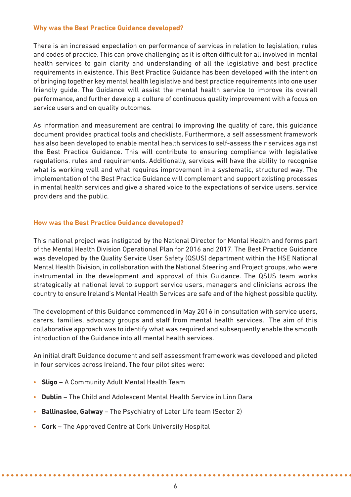#### **Why was the Best Practice Guidance developed?**

There is an increased expectation on performance of services in relation to legislation, rules and codes of practice. This can prove challenging as it is often difficult for all involved in mental health services to gain clarity and understanding of all the legislative and best practice requirements in existence. This Best Practice Guidance has been developed with the intention of bringing together key mental health legislative and best practice requirements into one user friendly guide. The Guidance will assist the mental health service to improve its overall performance, and further develop a culture of continuous quality improvement with a focus on service users and on quality outcomes.

As information and measurement are central to improving the quality of care, this guidance document provides practical tools and checklists. Furthermore, a self assessment framework has also been developed to enable mental health services to self-assess their services against the Best Practice Guidance. This will contribute to ensuring compliance with legislative regulations, rules and requirements. Additionally, services will have the ability to recognise what is working well and what requires improvement in a systematic, structured way. The implementation of the Best Practice Guidance will complement and support existing processes in mental health services and give a shared voice to the expectations of service users, service providers and the public.

#### **How was the Best Practice Guidance developed?**

This national project was instigated by the National Director for Mental Health and forms part of the Mental Health Division Operational Plan for 2016 and 2017. The Best Practice Guidance was developed by the Quality Service User Safety (QSUS) department within the HSE National Mental Health Division, in collaboration with the National Steering and Project groups, who were instrumental in the development and approval of this Guidance. The QSUS team works strategically at national level to support service users, managers and clinicians across the country to ensure Ireland's Mental Health Services are safe and of the highest possible quality.

The development of this Guidance commenced in May 2016 in consultation with service users, carers, families, advocacy groups and staff from mental health services. The aim of this collaborative approach was to identify what was required and subsequently enable the smooth introduction of the Guidance into all mental health services.

An initial draft Guidance document and self assessment framework was developed and piloted in four services across Ireland. The four pilot sites were:

- **Sligo** A Community Adult Mental Health Team
- **Dublin** The Child and Adolescent Mental Health Service in Linn Dara
- **Ballinasloe, Galway** The Psychiatry of Later Life team (Sector 2)
- **Cork** The Approved Centre at Cork University Hospital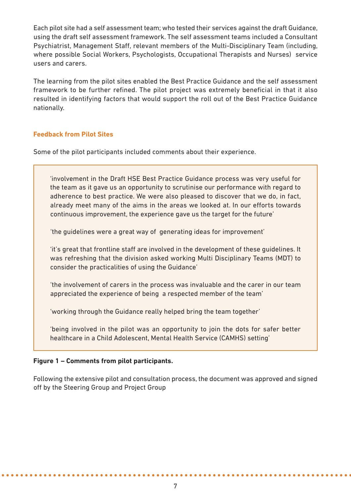Each pilot site had a self assessment team; who tested their services against the draft Guidance, using the draft self assessment framework. The self assessment teams included a Consultant Psychiatrist, Management Staff, relevant members of the Multi-Disciplinary Team (including, where possible Social Workers, Psychologists, Occupational Therapists and Nurses) service users and carers.

The learning from the pilot sites enabled the Best Practice Guidance and the self assessment framework to be further refined. The pilot project was extremely beneficial in that it also resulted in identifying factors that would support the roll out of the Best Practice Guidance nationally.

# **Feedback from Pilot Sites**

Some of the pilot participants included comments about their experience.

'involvement in the Draft HSE Best Practice Guidance process was very useful for the team as it gave us an opportunity to scrutinise our performance with regard to adherence to best practice. We were also pleased to discover that we do, in fact, already meet many of the aims in the areas we looked at. In our efforts towards continuous improvement, the experience gave us the target for the future'

'the guidelines were a great way of generating ideas for improvement'

'it's great that frontline staff are involved in the development of these guidelines. It was refreshing that the division asked working Multi Disciplinary Teams (MDT) to consider the practicalities of using the Guidance'

'the involvement of carers in the process was invaluable and the carer in our team appreciated the experience of being a respected member of the team'

'working through the Guidance really helped bring the team together'

'being involved in the pilot was an opportunity to join the dots for safer better healthcare in a Child Adolescent, Mental Health Service (CAMHS) setting'

# **Figure 1 – Comments from pilot participants.**

Following the extensive pilot and consultation process, the document was approved and signed off by the Steering Group and Project Group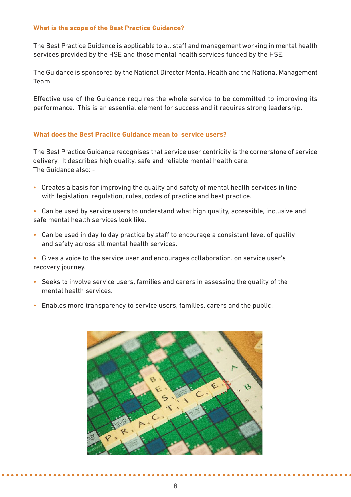## **What is the scope of the Best Practice Guidance?**

The Best Practice Guidance is applicable to all staff and management working in mental health services provided by the HSE and those mental health services funded by the HSE.

The Guidance is sponsored by the National Director Mental Health and the National Management Team.

Effective use of the Guidance requires the whole service to be committed to improving its performance. This is an essential element for success and it requires strong leadership.

#### **What does the Best Practice Guidance mean to service users?**

The Best Practice Guidance recognises that service user centricity is the cornerstone of service delivery. It describes high quality, safe and reliable mental health care. The Guidance also: -

- Creates a basis for improving the quality and safety of mental health services in line with legislation, regulation, rules, codes of practice and best practice.
- Can be used by service users to understand what high quality, accessible, inclusive and safe mental health services look like.
- Can be used in day to day practice by staff to encourage a consistent level of quality and safety across all mental health services.

• Gives a voice to the service user and encourages collaboration. on service user's recovery journey.

- Seeks to involve service users, families and carers in assessing the quality of the mental health services.
- Enables more transparency to service users, families, carers and the public.

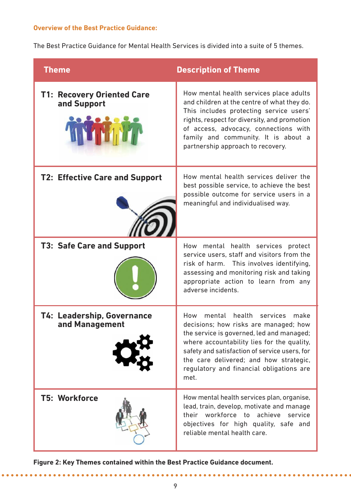## **Overview of the Best Practice Guidance:**

The Best Practice Guidance for Mental Health Services is divided into a suite of 5 themes.

| <b>Theme</b>                                        | <b>Description of Theme</b>                                                                                                                                                                                                                                                                                                    |
|-----------------------------------------------------|--------------------------------------------------------------------------------------------------------------------------------------------------------------------------------------------------------------------------------------------------------------------------------------------------------------------------------|
| <b>T1: Recovery Oriented Care</b><br>and Support    | How mental health services place adults<br>and children at the centre of what they do.<br>This includes protecting service users'<br>rights, respect for diversity, and promotion<br>of access, advocacy, connections with<br>family and community. It is about a<br>partnership approach to recovery.                         |
| <b>T2: Effective Care and Support</b>               | How mental health services deliver the<br>best possible service, to achieve the best<br>possible outcome for service users in a<br>meaningful and individualised way.                                                                                                                                                          |
| <b>T3: Safe Care and Support</b>                    | How mental health services protect<br>service users, staff and visitors from the<br>risk of harm. This involves identifying,<br>assessing and monitoring risk and taking<br>appropriate action to learn from any<br>adverse incidents.                                                                                         |
| <b>T4: Leadership, Governance</b><br>and Management | health<br>mental<br>services<br>How<br>make<br>decisions; how risks are managed; how<br>the service is governed, led and managed;<br>where accountability lies for the quality,<br>safety and satisfaction of service users, for<br>the care delivered; and how strategic,<br>regulatory and financial obligations are<br>met. |
| <b>T5: Workforce</b>                                | How mental health services plan, organise,<br>lead, train, develop, motivate and manage<br>their workforce to achieve<br>service<br>objectives for high quality, safe and<br>reliable mental health care.                                                                                                                      |

**Figure 2: Key Themes contained within the Best Practice Guidance document.**

 $\bullet$   $\bullet$   $\bullet$ 

. . . . . . . . . . . . . . . . . . . .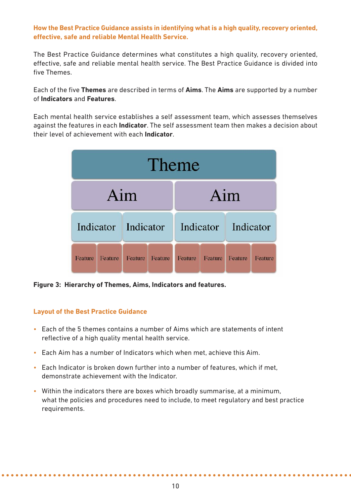# **How the Best Practice Guidance assists in identifying what is a high quality, recovery oriented, effective, safe and reliable Mental Health Service.**

The Best Practice Guidance determines what constitutes a high quality, recovery oriented, effective, safe and reliable mental health service. The Best Practice Guidance is divided into five Themes.

Each of the five **Themes** are described in terms of **Aims**. The **Aims** are supported by a number of **Indicators** and **Features**.

Each mental health service establishes a self assessment team, which assesses themselves against the features in each **Indicator**. The self assessment team then makes a decision about their level of achievement with each **Indicator**.



**Figure 3: Hierarchy of Themes, Aims, Indicators and features.**

# **Layout of the Best Practice Guidance**

- Each of the 5 themes contains a number of Aims which are statements of intent reflective of a high quality mental health service.
- Each Aim has a number of Indicators which when met, achieve this Aim.
- Each Indicator is broken down further into a number of features, which if met, demonstrate achievement with the Indicator.
- Within the indicators there are boxes which broadly summarise, at a minimum, what the policies and procedures need to include, to meet regulatory and best practice requirements.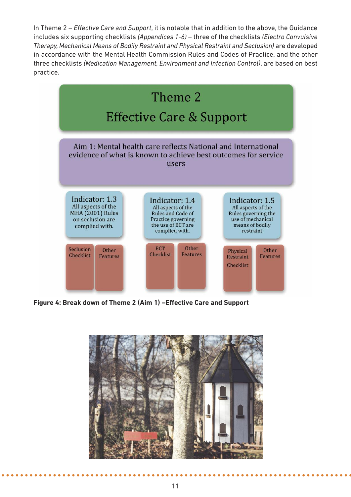In Theme 2 – *Effective Care and Support*, it is notable that in addition to the above, the Guidance includes six supporting checklists *(Appendices 1-6)* – three of the checklists *(Electro Convulsive Therapy, Mechanical Means of Bodily Restraint and Physical Restraint and Seclusion)* are developed in accordance with the Mental Health Commission Rules and Codes of Practice, and the other three checklists *(Medication Management, Environment and Infection Control)*, are based on best practice.



**Figure 4: Break down of Theme 2 (Aim 1) –Effective Care and Support**

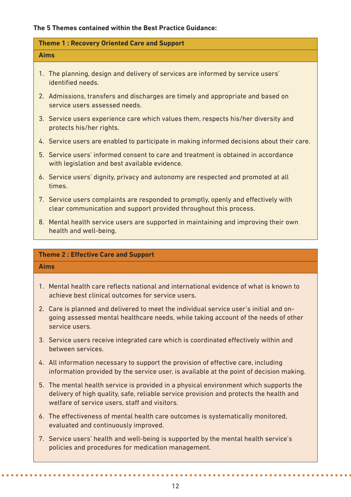### **The 5 Themes contained within the Best Practice Guidance:**

| <b>Theme 1: Recovery Oriented Care and Support</b>                                                                                                      |  |
|---------------------------------------------------------------------------------------------------------------------------------------------------------|--|
| <b>Aims</b>                                                                                                                                             |  |
| 1. The planning, design and delivery of services are informed by service users'<br>identified needs.                                                    |  |
| 2. Admissions, transfers and discharges are timely and appropriate and based on<br>service users assessed needs.                                        |  |
| 3. Service users experience care which values them, respects his/her diversity and<br>protects his/her rights.                                          |  |
| 4. Service users are enabled to participate in making informed decisions about their care.                                                              |  |
| 5. Service users' informed consent to care and treatment is obtained in accordance<br>with legislation and best available evidence.                     |  |
| 6. Service users' dignity, privacy and autonomy are respected and promoted at all<br>times.                                                             |  |
| 7. Service users complaints are responded to promptly, openly and effectively with<br>clear communication and support provided throughout this process. |  |
| 8. Mental health service users are supported in maintaining and improving their own<br>health and well-being.                                           |  |
| Thoma 2 . Effective Care and Sunnort                                                                                                                    |  |

#### **Theme 2 : Effective Care and Support**

#### **Aims**

- 1. Mental health care reflects national and international evidence of what is known to achieve best clinical outcomes for service users.
- 2. Care is planned and delivered to meet the individual service user's initial and ongoing assessed mental healthcare needs, while taking account of the needs of other service users.
- 3. Service users receive integrated care which is coordinated effectively within and between services.
- 4. All information necessary to support the provision of effective care, including information provided by the service user, is available at the point of decision making.
- 5. The mental health service is provided in a physical environment which supports the delivery of high quality, safe, reliable service provision and protects the health and welfare of service users, staff and visitors.
- 6. The effectiveness of mental health care outcomes is systematically monitored, evaluated and continuously improved.
- 7. Service users' health and well-being is supported by the mental health service's policies and procedures for medication management.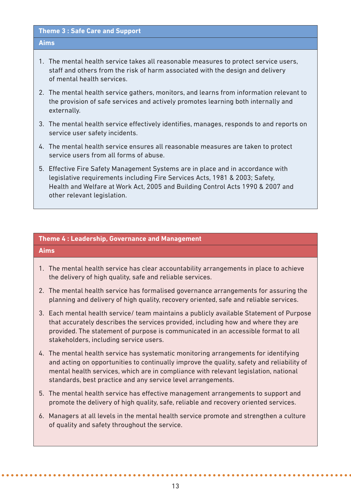#### **Theme 3 : Safe Care and Support**

#### **Aims**

- 1. The mental health service takes all reasonable measures to protect service users, staff and others from the risk of harm associated with the design and delivery of mental health services.
- 2. The mental health service gathers, monitors, and learns from information relevant to the provision of safe services and actively promotes learning both internally and externally.
- 3. The mental health service effectively identifies, manages, responds to and reports on service user safety incidents.
- 4. The mental health service ensures all reasonable measures are taken to protect service users from all forms of abuse.
- 5. Effective Fire Safety Management Systems are in place and in accordance with legislative requirements including Fire Services Acts, 1981 & 2003; Safety, Health and Welfare at Work Act, 2005 and Building Control Acts 1990 & 2007 and other relevant legislation.

#### **Theme 4 : Leadership, Governance and Management**

#### **Aims**

- 1. The mental health service has clear accountability arrangements in place to achieve the delivery of high quality, safe and reliable services.
- 2. The mental health service has formalised governance arrangements for assuring the planning and delivery of high quality, recovery oriented, safe and reliable services.
- 3. Each mental health service/ team maintains a publicly available Statement of Purpose that accurately describes the services provided, including how and where they are provided. The statement of purpose is communicated in an accessible format to all stakeholders, including service users.
- 4. The mental health service has systematic monitoring arrangements for identifying and acting on opportunities to continually improve the quality, safety and reliability of mental health services, which are in compliance with relevant legislation, national standards, best practice and any service level arrangements.
- 5. The mental health service has effective management arrangements to support and promote the delivery of high quality, safe, reliable and recovery oriented services.
- 6. Managers at all levels in the mental health service promote and strengthen a culture of quality and safety throughout the service.